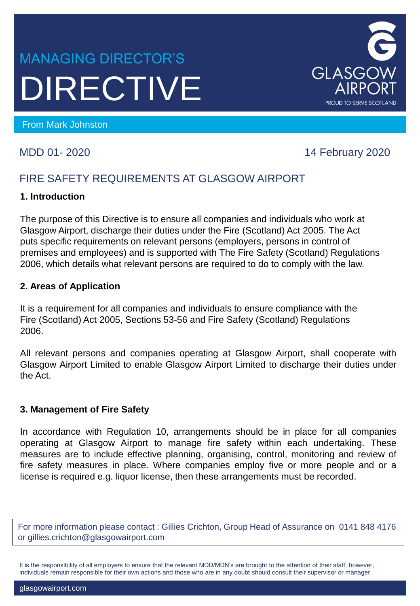# MANAGING DIRECTOR'S DIRECTIVE



MDD 01- 2020 14 February 2020

## FIRE SAFETY REQUIREMENTS AT GLASGOW AIRPORT

#### **1. Introduction**

The purpose of this Directive is to ensure all companies and individuals who work at Glasgow Airport, discharge their duties under the Fire (Scotland) Act 2005. The Act puts specific requirements on relevant persons (employers, persons in control of premises and employees) and is supported with The Fire Safety (Scotland) Regulations 2006, which details what relevant persons are required to do to comply with the law.

#### **2. Areas of Application**

It is a requirement for all companies and individuals to ensure compliance with the Fire (Scotland) Act 2005, Sections 53-56 and Fire Safety (Scotland) Regulations 2006.

All relevant persons and companies operating at Glasgow Airport, shall cooperate with Glasgow Airport Limited to enable Glasgow Airport Limited to discharge their duties under the Act.

#### **3. Management of Fire Safety**

In accordance with Regulation 10, arrangements should be in place for all companies operating at Glasgow Airport to manage fire safety within each undertaking. These measures are to include effective planning, organising, control, monitoring and review of fire safety measures in place. Where companies employ five or more people and or a license is required e.g. liquor license, then these arrangements must be recorded.

For more information please contact : Gillies Crichton, Group Head of Assurance on 0141 848 4176 or gillies.crichton@glasgowairport.com

It is the responsibility of all employers to ensure that the relevant MDD/MDN's are brought to the attention of their staff, however, individuals remain responsible for their own actions and those who are in any doubt should consult their supervisor or manager.

GLASGOW **AIRPC PROUD TO SERVE SCOTLAND**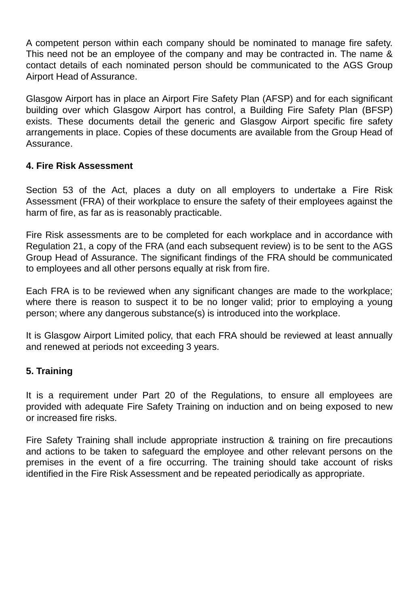A competent person within each company should be nominated to manage fire safety. This need not be an employee of the company and may be contracted in. The name & contact details of each nominated person should be communicated to the AGS Group Airport Head of Assurance.

Glasgow Airport has in place an Airport Fire Safety Plan (AFSP) and for each significant building over which Glasgow Airport has control, a Building Fire Safety Plan (BFSP) exists. These documents detail the generic and Glasgow Airport specific fire safety arrangements in place. Copies of these documents are available from the Group Head of Assurance.

#### **4. Fire Risk Assessment**

Section 53 of the Act, places a duty on all employers to undertake a Fire Risk Assessment (FRA) of their workplace to ensure the safety of their employees against the harm of fire, as far as is reasonably practicable.

Fire Risk assessments are to be completed for each workplace and in accordance with Regulation 21, a copy of the FRA (and each subsequent review) is to be sent to the AGS Group Head of Assurance. The significant findings of the FRA should be communicated to employees and all other persons equally at risk from fire.

Each FRA is to be reviewed when any significant changes are made to the workplace; where there is reason to suspect it to be no longer valid; prior to employing a young person; where any dangerous substance(s) is introduced into the workplace.

It is Glasgow Airport Limited policy, that each FRA should be reviewed at least annually and renewed at periods not exceeding 3 years.

#### **5. Training**

It is a requirement under Part 20 of the Regulations, to ensure all employees are provided with adequate Fire Safety Training on induction and on being exposed to new or increased fire risks.

Fire Safety Training shall include appropriate instruction & training on fire precautions and actions to be taken to safeguard the employee and other relevant persons on the premises in the event of a fire occurring. The training should take account of risks identified in the Fire Risk Assessment and be repeated periodically as appropriate.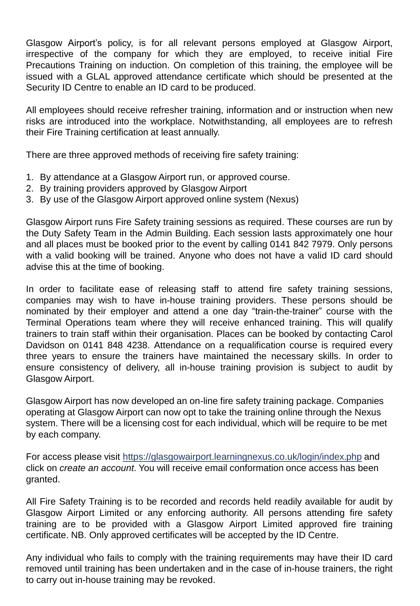Glasgow Airport's policy, is for all relevant persons employed at Glasgow Airport, irrespective of the company for which they are employed, to receive initial Fire Precautions Training on induction. On completion of this training, the employee will be issued with a GLAL approved attendance certificate which should be presented at the Security ID Centre to enable an ID card to be produced.

All employees should receive refresher training, information and or instruction when new risks are introduced into the workplace. Notwithstanding, all employees are to refresh their Fire Training certification at least annually.

There are three approved methods of receiving fire safety training:

- 1. By attendance at a Glasgow Airport run, or approved course.
- 2. By training providers approved by Glasgow Airport
- 3. By use of the Glasgow Airport approved online system (Nexus)

Glasgow Airport runs Fire Safety training sessions as required. These courses are run by the Duty Safety Team in the Admin Building. Each session lasts approximately one hour and all places must be booked prior to the event by calling 0141 842 7979. Only persons with a valid booking will be trained. Anyone who does not have a valid ID card should advise this at the time of booking.

In order to facilitate ease of releasing staff to attend fire safety training sessions, companies may wish to have in-house training providers. These persons should be nominated by their employer and attend a one day "train-the-trainer" course with the Terminal Operations team where they will receive enhanced training. This will qualify trainers to train staff within their organisation. Places can be booked by contacting Carol Davidson on 0141 848 4238. Attendance on a requalification course is required every three years to ensure the trainers have maintained the necessary skills. In order to ensure consistency of delivery, all in-house training provision is subject to audit by Glasgow Airport.

Glasgow Airport has now developed an on-line fire safety training package. Companies operating at Glasgow Airport can now opt to take the training online through the Nexus system. There will be a licensing cost for each individual, which will be require to be met by each company.

For access please visit <https://glasgowairport.learningnexus.co.uk/login/index.php> and click on *create an account*. You will receive email conformation once access has been granted.

All Fire Safety Training is to be recorded and records held readily available for audit by Glasgow Airport Limited or any enforcing authority. All persons attending fire safety training are to be provided with a Glasgow Airport Limited approved fire training certificate. NB. Only approved certificates will be accepted by the ID Centre.

Any individual who fails to comply with the training requirements may have their ID card removed until training has been undertaken and in the case of in-house trainers, the right to carry out in-house training may be revoked.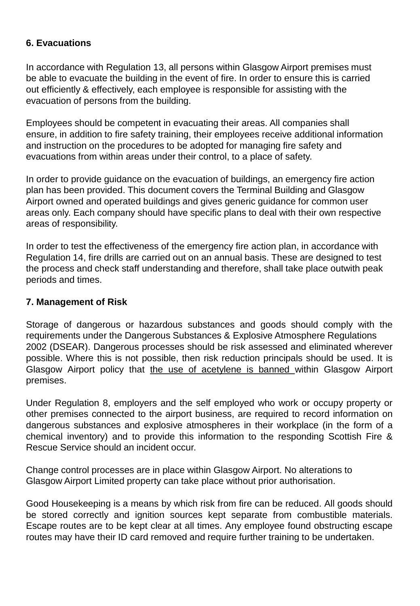#### **6. Evacuations**

In accordance with Regulation 13, all persons within Glasgow Airport premises must be able to evacuate the building in the event of fire. In order to ensure this is carried out efficiently & effectively, each employee is responsible for assisting with the evacuation of persons from the building.

Employees should be competent in evacuating their areas. All companies shall ensure, in addition to fire safety training, their employees receive additional information and instruction on the procedures to be adopted for managing fire safety and evacuations from within areas under their control, to a place of safety.

In order to provide guidance on the evacuation of buildings, an emergency fire action plan has been provided. This document covers the Terminal Building and Glasgow Airport owned and operated buildings and gives generic guidance for common user areas only. Each company should have specific plans to deal with their own respective areas of responsibility.

In order to test the effectiveness of the emergency fire action plan, in accordance with Regulation 14, fire drills are carried out on an annual basis. These are designed to test the process and check staff understanding and therefore, shall take place outwith peak periods and times.

#### **7. Management of Risk**

Storage of dangerous or hazardous substances and goods should comply with the requirements under the Dangerous Substances & Explosive Atmosphere Regulations 2002 (DSEAR). Dangerous processes should be risk assessed and eliminated wherever possible. Where this is not possible, then risk reduction principals should be used. It is Glasgow Airport policy that the use of acetylene is banned within Glasgow Airport premises.

Under Regulation 8, employers and the self employed who work or occupy property or other premises connected to the airport business, are required to record information on dangerous substances and explosive atmospheres in their workplace (in the form of a chemical inventory) and to provide this information to the responding Scottish Fire & Rescue Service should an incident occur.

Change control processes are in place within Glasgow Airport. No alterations to Glasgow Airport Limited property can take place without prior authorisation.

Good Housekeeping is a means by which risk from fire can be reduced. All goods should be stored correctly and ignition sources kept separate from combustible materials. Escape routes are to be kept clear at all times. Any employee found obstructing escape routes may have their ID card removed and require further training to be undertaken.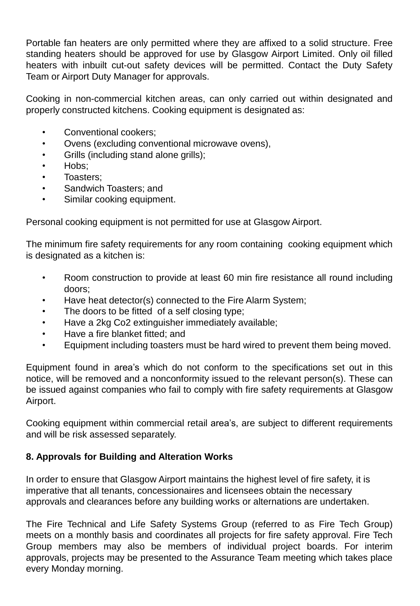Portable fan heaters are only permitted where they are affixed to a solid structure. Free standing heaters should be approved for use by Glasgow Airport Limited. Only oil filled heaters with inbuilt cut-out safety devices will be permitted. Contact the Duty Safety Team or Airport Duty Manager for approvals.

Cooking in non-commercial kitchen areas, can only carried out within designated and properly constructed kitchens. Cooking equipment is designated as:

- Conventional cookers;
- Ovens (excluding conventional microwave ovens),
- Grills (including stand alone grills);
- Hobs;
- Toasters;
- Sandwich Toasters; and
- Similar cooking equipment.

Personal cooking equipment is not permitted for use at Glasgow Airport.

The minimum fire safety requirements for any room containing cooking equipment which is designated as a kitchen is:

- Room construction to provide at least 60 min fire resistance all round including doors;
- Have heat detector(s) connected to the Fire Alarm System;
- The doors to be fitted of a self closing type;
- Have a 2kg Co2 extinguisher immediately available;
- Have a fire blanket fitted; and
- Equipment including toasters must be hard wired to prevent them being moved.

Equipment found in area's which do not conform to the specifications set out in this notice, will be removed and a nonconformity issued to the relevant person(s). These can be issued against companies who fail to comply with fire safety requirements at Glasgow Airport.

Cooking equipment within commercial retail area's, are subject to different requirements and will be risk assessed separately.

### **8. Approvals for Building and Alteration Works**

In order to ensure that Glasgow Airport maintains the highest level of fire safety, it is imperative that all tenants, concessionaires and licensees obtain the necessary approvals and clearances before any building works or alternations are undertaken.

The Fire Technical and Life Safety Systems Group (referred to as Fire Tech Group) meets on a monthly basis and coordinates all projects for fire safety approval. Fire Tech Group members may also be members of individual project boards. For interim approvals, projects may be presented to the Assurance Team meeting which takes place every Monday morning.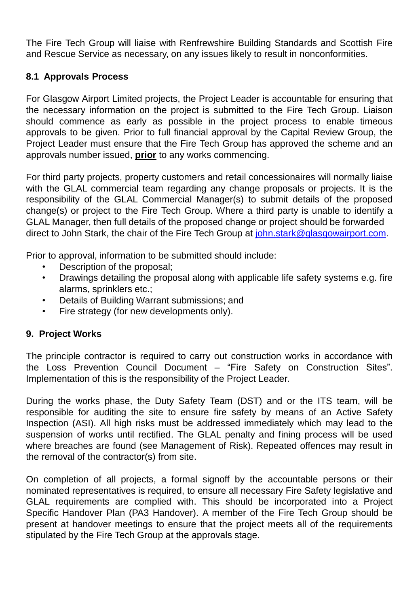The Fire Tech Group will liaise with Renfrewshire Building Standards and Scottish Fire and Rescue Service as necessary, on any issues likely to result in nonconformities.

#### **8.1 Approvals Process**

For Glasgow Airport Limited projects, the Project Leader is accountable for ensuring that the necessary information on the project is submitted to the Fire Tech Group. Liaison should commence as early as possible in the project process to enable timeous approvals to be given. Prior to full financial approval by the Capital Review Group, the Project Leader must ensure that the Fire Tech Group has approved the scheme and an approvals number issued, **prior** to any works commencing.

For third party projects, property customers and retail concessionaires will normally liaise with the GLAL commercial team regarding any change proposals or projects. It is the responsibility of the GLAL Commercial Manager(s) to submit details of the proposed change(s) or project to the Fire Tech Group. Where a third party is unable to identify a GLAL Manager, then full details of the proposed change or project should be forwarded direct to John Stark, the chair of the Fire Tech Group at [john.stark@glasgowairport.com.](mailto:john.stark@glasgowairport.com)

Prior to approval, information to be submitted should include:

- Description of the proposal;
- Drawings detailing the proposal along with applicable life safety systems e.g. fire alarms, sprinklers etc.;
- Details of Building Warrant submissions; and
- Fire strategy (for new developments only).

### **9. Project Works**

The principle contractor is required to carry out construction works in accordance with the Loss Prevention Council Document – "Fire Safety on Construction Sites". Implementation of this is the responsibility of the Project Leader.

During the works phase, the Duty Safety Team (DST) and or the ITS team, will be responsible for auditing the site to ensure fire safety by means of an Active Safety Inspection (ASI). All high risks must be addressed immediately which may lead to the suspension of works until rectified. The GLAL penalty and fining process will be used where breaches are found (see Management of Risk). Repeated offences may result in the removal of the contractor(s) from site.

On completion of all projects, a formal signoff by the accountable persons or their nominated representatives is required, to ensure all necessary Fire Safety legislative and GLAL requirements are complied with. This should be incorporated into a Project Specific Handover Plan (PA3 Handover). A member of the Fire Tech Group should be present at handover meetings to ensure that the project meets all of the requirements stipulated by the Fire Tech Group at the approvals stage.